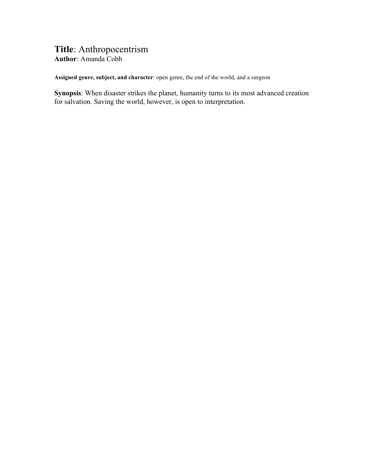## **Title**: Anthropocentrism **Author**: Amanda Cobb

**Assigned genre, subject, and character**: open genre, the end of the world, and a surgeon

**Synopsis**: When disaster strikes the planet, humanity turns to its most advanced creation for salvation. Saving the world, however, is open to interpretation.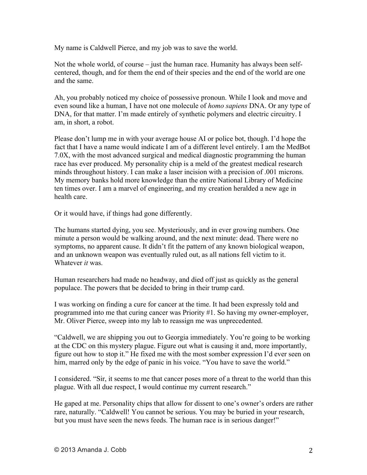My name is Caldwell Pierce, and my job was to save the world.

Not the whole world, of course – just the human race. Humanity has always been selfcentered, though, and for them the end of their species and the end of the world are one and the same.

Ah, you probably noticed my choice of possessive pronoun. While I look and move and even sound like a human, I have not one molecule of *homo sapiens* DNA. Or any type of DNA, for that matter. I'm made entirely of synthetic polymers and electric circuitry. I am, in short, a robot.

Please don't lump me in with your average house AI or police bot, though. I'd hope the fact that I have a name would indicate I am of a different level entirely. I am the MedBot 7.0X, with the most advanced surgical and medical diagnostic programming the human race has ever produced. My personality chip is a meld of the greatest medical research minds throughout history. I can make a laser incision with a precision of .001 microns. My memory banks hold more knowledge than the entire National Library of Medicine ten times over. I am a marvel of engineering, and my creation heralded a new age in health care.

Or it would have, if things had gone differently.

The humans started dying, you see. Mysteriously, and in ever growing numbers. One minute a person would be walking around, and the next minute: dead. There were no symptoms, no apparent cause. It didn't fit the pattern of any known biological weapon, and an unknown weapon was eventually ruled out, as all nations fell victim to it. Whatever *it* was.

Human researchers had made no headway, and died off just as quickly as the general populace. The powers that be decided to bring in their trump card.

I was working on finding a cure for cancer at the time. It had been expressly told and programmed into me that curing cancer was Priority #1. So having my owner-employer, Mr. Oliver Pierce, sweep into my lab to reassign me was unprecedented.

"Caldwell, we are shipping you out to Georgia immediately. You're going to be working at the CDC on this mystery plague. Figure out what is causing it and, more importantly, figure out how to stop it." He fixed me with the most somber expression I'd ever seen on him, marred only by the edge of panic in his voice. "You have to save the world."

I considered. "Sir, it seems to me that cancer poses more of a threat to the world than this plague. With all due respect, I would continue my current research."

He gaped at me. Personality chips that allow for dissent to one's owner's orders are rather rare, naturally. "Caldwell! You cannot be serious. You may be buried in your research, but you must have seen the news feeds. The human race is in serious danger!"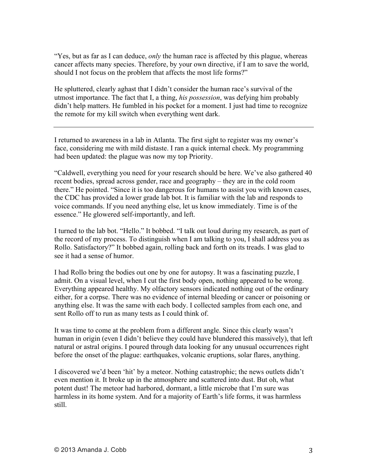"Yes, but as far as I can deduce, *only* the human race is affected by this plague, whereas cancer affects many species. Therefore, by your own directive, if I am to save the world, should I not focus on the problem that affects the most life forms?"

He spluttered, clearly aghast that I didn't consider the human race's survival of the utmost importance. The fact that I, a thing, *his possession*, was defying him probably didn't help matters. He fumbled in his pocket for a moment. I just had time to recognize the remote for my kill switch when everything went dark.

I returned to awareness in a lab in Atlanta. The first sight to register was my owner's face, considering me with mild distaste. I ran a quick internal check. My programming had been updated: the plague was now my top Priority.

"Caldwell, everything you need for your research should be here. We've also gathered 40 recent bodies, spread across gender, race and geography – they are in the cold room there." He pointed. "Since it is too dangerous for humans to assist you with known cases, the CDC has provided a lower grade lab bot. It is familiar with the lab and responds to voice commands. If you need anything else, let us know immediately. Time is of the essence." He glowered self-importantly, and left.

I turned to the lab bot. "Hello." It bobbed. "I talk out loud during my research, as part of the record of my process. To distinguish when I am talking to you, I shall address you as Rollo. Satisfactory?" It bobbed again, rolling back and forth on its treads. I was glad to see it had a sense of humor.

I had Rollo bring the bodies out one by one for autopsy. It was a fascinating puzzle, I admit. On a visual level, when I cut the first body open, nothing appeared to be wrong. Everything appeared healthy. My olfactory sensors indicated nothing out of the ordinary either, for a corpse. There was no evidence of internal bleeding or cancer or poisoning or anything else. It was the same with each body. I collected samples from each one, and sent Rollo off to run as many tests as I could think of.

It was time to come at the problem from a different angle. Since this clearly wasn't human in origin (even I didn't believe they could have blundered this massively), that left natural or astral origins. I poured through data looking for any unusual occurrences right before the onset of the plague: earthquakes, volcanic eruptions, solar flares, anything.

I discovered we'd been 'hit' by a meteor. Nothing catastrophic; the news outlets didn't even mention it. It broke up in the atmosphere and scattered into dust. But oh, what potent dust! The meteor had harbored, dormant, a little microbe that I'm sure was harmless in its home system. And for a majority of Earth's life forms, it was harmless still.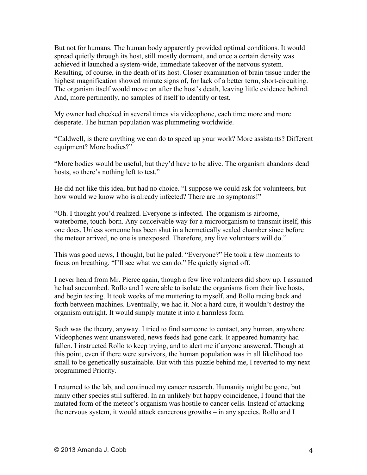But not for humans. The human body apparently provided optimal conditions. It would spread quietly through its host, still mostly dormant, and once a certain density was achieved it launched a system-wide, immediate takeover of the nervous system. Resulting, of course, in the death of its host. Closer examination of brain tissue under the highest magnification showed minute signs of, for lack of a better term, short-circuiting. The organism itself would move on after the host's death, leaving little evidence behind. And, more pertinently, no samples of itself to identify or test.

My owner had checked in several times via videophone, each time more and more desperate. The human population was plummeting worldwide.

"Caldwell, is there anything we can do to speed up your work? More assistants? Different equipment? More bodies?"

"More bodies would be useful, but they'd have to be alive. The organism abandons dead hosts, so there's nothing left to test."

He did not like this idea, but had no choice. "I suppose we could ask for volunteers, but how would we know who is already infected? There are no symptoms!"

"Oh. I thought you'd realized. Everyone is infected. The organism is airborne, waterborne, touch-born. Any conceivable way for a microorganism to transmit itself, this one does. Unless someone has been shut in a hermetically sealed chamber since before the meteor arrived, no one is unexposed. Therefore, any live volunteers will do."

This was good news, I thought, but he paled. "Everyone?" He took a few moments to focus on breathing. "I'll see what we can do." He quietly signed off.

I never heard from Mr. Pierce again, though a few live volunteers did show up. I assumed he had succumbed. Rollo and I were able to isolate the organisms from their live hosts, and begin testing. It took weeks of me muttering to myself, and Rollo racing back and forth between machines. Eventually, we had it. Not a hard cure, it wouldn't destroy the organism outright. It would simply mutate it into a harmless form.

Such was the theory, anyway. I tried to find someone to contact, any human, anywhere. Videophones went unanswered, news feeds had gone dark. It appeared humanity had fallen. I instructed Rollo to keep trying, and to alert me if anyone answered. Though at this point, even if there were survivors, the human population was in all likelihood too small to be genetically sustainable. But with this puzzle behind me, I reverted to my next programmed Priority.

I returned to the lab, and continued my cancer research. Humanity might be gone, but many other species still suffered. In an unlikely but happy coincidence, I found that the mutated form of the meteor's organism was hostile to cancer cells. Instead of attacking the nervous system, it would attack cancerous growths – in any species. Rollo and I